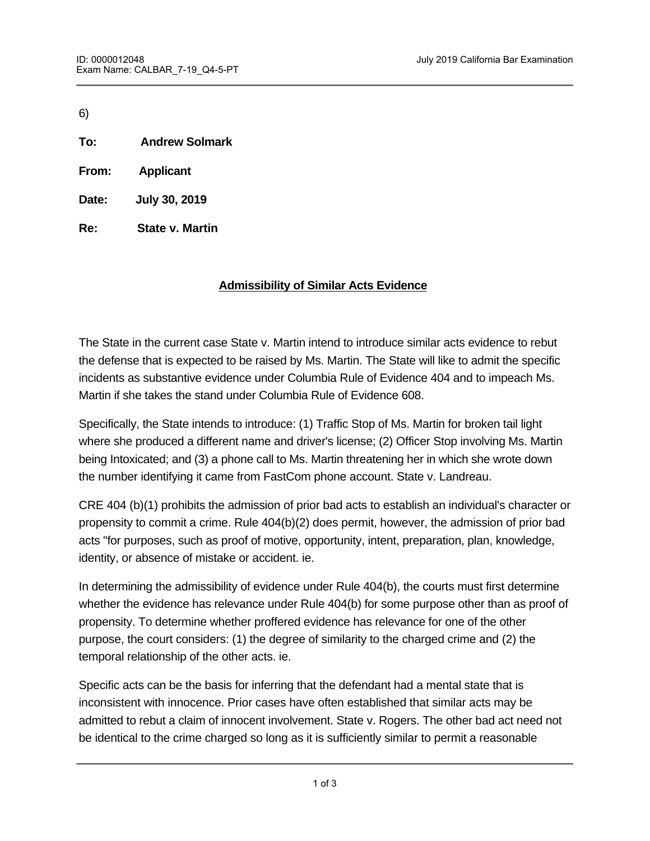6)

- **To: Andrew Solmark**
- **From: Applicant**
- **Date: July 30, 2019**
- **Re: State v. Martin**

### **Admissibility of Similar Acts Evidence**

The State in the current case State v. Martin intend to introduce similar acts evidence to rebut the defense that is expected to be raised by Ms. Martin. The State will like to admit the specific incidents as substantive evidence under Columbia Rule of Evidence 404 and to impeach Ms. Martin if she takes the stand under Columbia Rule of Evidence 608.

Specifically, the State intends to introduce: (1) Traffic Stop of Ms. Martin for broken tail light where she produced a different name and driver's license; (2) Officer Stop involving Ms. Martin being Intoxicated; and (3) a phone call to Ms. Martin threatening her in which she wrote down the number identifying it came from FastCom phone account. State v. Landreau.

CRE 404 (b)(1) prohibits the admission of prior bad acts to establish an individual's character or propensity to commit a crime. Rule 404(b)(2) does permit, however, the admission of prior bad acts "for purposes, such as proof of motive, opportunity, intent, preparation, plan, knowledge, identity, or absence of mistake or accident. ie.

In determining the admissibility of evidence under Rule 404(b), the courts must first determine whether the evidence has relevance under Rule 404(b) for some purpose other than as proof of propensity. To determine whether proffered evidence has relevance for one of the other purpose, the court considers: (1) the degree of similarity to the charged crime and (2) the temporal relationship of the other acts. ie.

Specific acts can be the basis for inferring that the defendant had a mental state that is inconsistent with innocence. Prior cases have often established that similar acts may be admitted to rebut a claim of innocent involvement. State v. Rogers. The other bad act need not be identical to the crime charged so long as it is sufficiently similar to permit a reasonable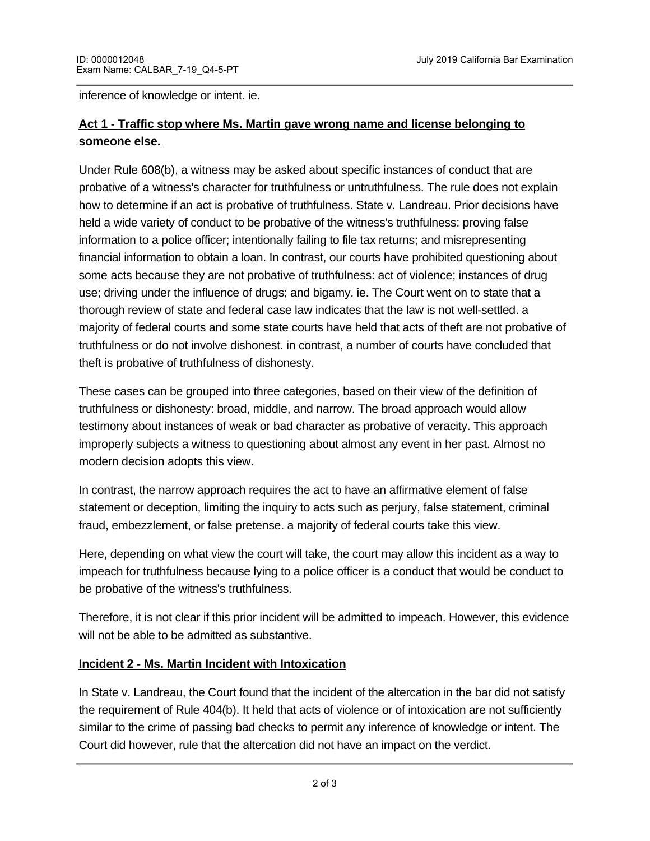inference of knowledge or intent. ie.

# **Act 1 - Traffic stop where Ms. Martin gave wrong name and license belonging to someone else.**

Under Rule 608(b), a witness may be asked about specific instances of conduct that are probative of a witness's character for truthfulness or untruthfulness. The rule does not explain how to determine if an act is probative of truthfulness. State v. Landreau. Prior decisions have held a wide variety of conduct to be probative of the witness's truthfulness: proving false information to a police officer; intentionally failing to file tax returns; and misrepresenting financial information to obtain a loan. In contrast, our courts have prohibited questioning about some acts because they are not probative of truthfulness: act of violence; instances of drug use; driving under the influence of drugs; and bigamy. ie. The Court went on to state that a thorough review of state and federal case law indicates that the law is not well-settled. a majority of federal courts and some state courts have held that acts of theft are not probative of truthfulness or do not involve dishonest. in contrast, a number of courts have concluded that theft is probative of truthfulness of dishonesty.

These cases can be grouped into three categories, based on their view of the definition of truthfulness or dishonesty: broad, middle, and narrow. The broad approach would allow testimony about instances of weak or bad character as probative of veracity. This approach improperly subjects a witness to questioning about almost any event in her past. Almost no modern decision adopts this view.

In contrast, the narrow approach requires the act to have an affirmative element of false statement or deception, limiting the inquiry to acts such as perjury, false statement, criminal fraud, embezzlement, or false pretense. a majority of federal courts take this view.

Here, depending on what view the court will take, the court may allow this incident as a way to impeach for truthfulness because lying to a police officer is a conduct that would be conduct to be probative of the witness's truthfulness.

Therefore, it is not clear if this prior incident will be admitted to impeach. However, this evidence will not be able to be admitted as substantive.

### **Incident 2 - Ms. Martin Incident with Intoxication**

In State v. Landreau, the Court found that the incident of the altercation in the bar did not satisfy the requirement of Rule 404(b). It held that acts of violence or of intoxication are not sufficiently similar to the crime of passing bad checks to permit any inference of knowledge or intent. The Court did however, rule that the altercation did not have an impact on the verdict.